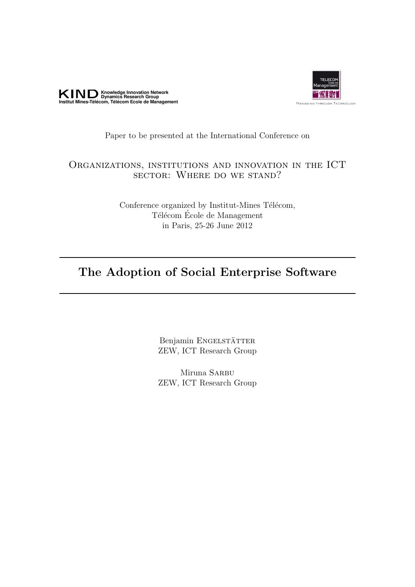



#### Paper to be presented at the International Conference on

## Organizations, institutions and innovation in the ICT sector: Where do we stand?

Conference organized by Institut-Mines Télécom, Télécom École de Management in Paris, 25-26 June 2012

## The Adoption of Social Enterprise Software

Benjamin ENGELSTÄTTER ZEW, ICT Research Group

Miruna SARBU ZEW, ICT Research Group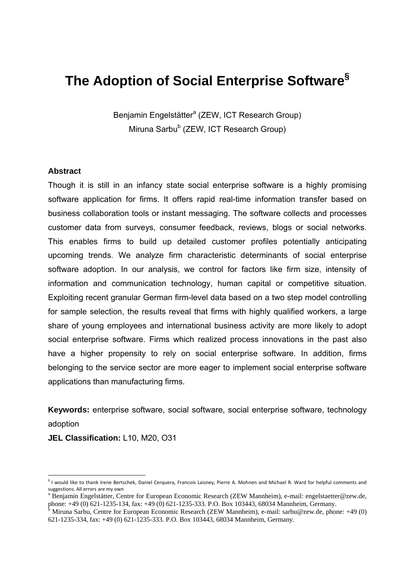# **The Adoption of Social Enterprise Software§**

Benjamin Engelstätter<sup>a</sup> (ZEW, ICT Research Group) Miruna Sarbu<sup>b</sup> (ZEW, ICT Research Group)

#### **Abstract**

Though it is still in an infancy state social enterprise software is a highly promising software application for firms. It offers rapid real-time information transfer based on business collaboration tools or instant messaging. The software collects and processes customer data from surveys, consumer feedback, reviews, blogs or social networks. This enables firms to build up detailed customer profiles potentially anticipating upcoming trends. We analyze firm characteristic determinants of social enterprise software adoption. In our analysis, we control for factors like firm size, intensity of information and communication technology, human capital or competitive situation. Exploiting recent granular German firm-level data based on a two step model controlling for sample selection, the results reveal that firms with highly qualified workers, a large share of young employees and international business activity are more likely to adopt social enterprise software. Firms which realized process innovations in the past also have a higher propensity to rely on social enterprise software. In addition, firms belonging to the service sector are more eager to implement social enterprise software applications than manufacturing firms.

**Keywords:** enterprise software, social software, social enterprise software, technology adoption

**JEL Classification:** L10, M20, O31

-

<sup>§</sup> I would like to thank Irene Bertschek, Daniel Cerquera, Francois Laisney, Pierre A. Mohnen and Michael R. Ward for helpful comments and suggestions. All errors are my own

Benjamin Engelstätter, Centre for European Economic Research (ZEW Mannheim), e-mail: engelstaetter@zew.de,

phone: +49 (0) 621-1235-134, fax: +49 (0) 621-1235-333. P.O. Box 103443, 68034 Mannheim, Germany.<br><sup>b</sup> Miruna Sarbu, Centre for European Economic Research (ZEW Mannheim), e-mail: sarbu@zew.de, phone: +49 (0) 621-1235-334, fax: +49 (0) 621-1235-333. P.O. Box 103443, 68034 Mannheim, Germany.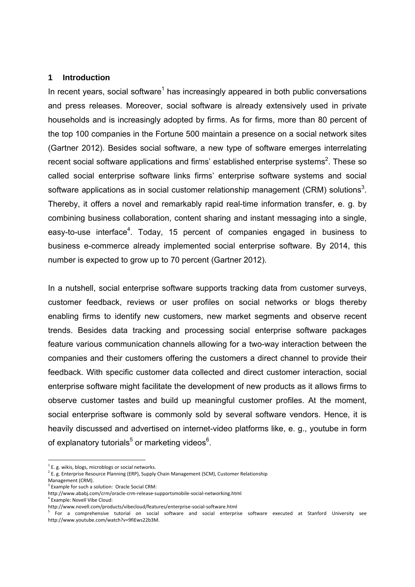#### **1 Introduction**

In recent years, social software<sup>1</sup> has increasingly appeared in both public conversations and press releases. Moreover, social software is already extensively used in private households and is increasingly adopted by firms. As for firms, more than 80 percent of the top 100 companies in the Fortune 500 maintain a presence on a social network sites (Gartner 2012). Besides social software, a new type of software emerges interrelating recent social software applications and firms' established enterprise systems<sup>2</sup>. These so called social enterprise software links firms' enterprise software systems and social software applications as in social customer relationship management (CRM) solutions<sup>3</sup>. Thereby, it offers a novel and remarkably rapid real-time information transfer, e. g. by combining business collaboration, content sharing and instant messaging into a single, easy-to-use interface<sup>4</sup>. Today, 15 percent of companies engaged in business to business e-commerce already implemented social enterprise software. By 2014, this number is expected to grow up to 70 percent (Gartner 2012).

In a nutshell, social enterprise software supports tracking data from customer surveys, customer feedback, reviews or user profiles on social networks or blogs thereby enabling firms to identify new customers, new market segments and observe recent trends. Besides data tracking and processing social enterprise software packages feature various communication channels allowing for a two-way interaction between the companies and their customers offering the customers a direct channel to provide their feedback. With specific customer data collected and direct customer interaction, social enterprise software might facilitate the development of new products as it allows firms to observe customer tastes and build up meaningful customer profiles. At the moment, social enterprise software is commonly sold by several software vendors. Hence, it is heavily discussed and advertised on internet-video platforms like, e. g., youtube in form of explanatory tutorials<sup>5</sup> or marketing videos<sup>6</sup>.

<sup>-</sup> $1$  E. g. wikis, blogs, microblogs or social networks.

 $2$  E. g. Enterprise Resource Planning (ERP), Supply Chain Management (SCM), Customer Relationship

Management (CRM).<br><sup>3</sup> Example for such a solution: Oracle Social CRM:

http://www.ababj.com/crm/oracle‐crm‐release‐supportsmobile‐social‐networking.html

<sup>&</sup>lt;sup>4</sup> Example: Novell Vibe Cloud:<br>http://www.novell.com/products/vibecloud/features/enterprise-social-software.html

http://www.novellen.com/products/vibecloud/software and social enterprise software executed at Stanford University see http://www.youtube.com/watch?v=9fiEws22b3M.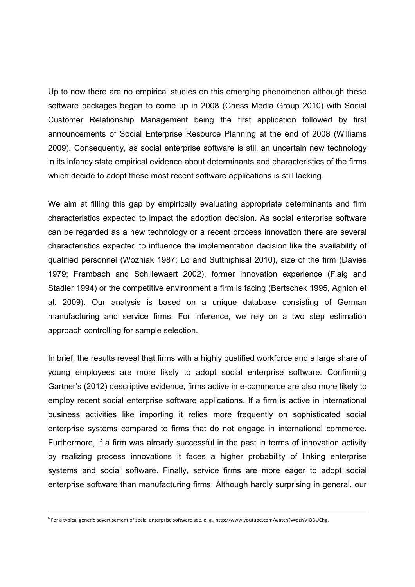Up to now there are no empirical studies on this emerging phenomenon although these software packages began to come up in 2008 (Chess Media Group 2010) with Social Customer Relationship Management being the first application followed by first announcements of Social Enterprise Resource Planning at the end of 2008 (Williams 2009). Consequently, as social enterprise software is still an uncertain new technology in its infancy state empirical evidence about determinants and characteristics of the firms which decide to adopt these most recent software applications is still lacking.

We aim at filling this gap by empirically evaluating appropriate determinants and firm characteristics expected to impact the adoption decision. As social enterprise software can be regarded as a new technology or a recent process innovation there are several characteristics expected to influence the implementation decision like the availability of qualified personnel (Wozniak 1987; Lo and Sutthiphisal 2010), size of the firm (Davies 1979; Frambach and Schillewaert 2002), former innovation experience (Flaig and Stadler 1994) or the competitive environment a firm is facing (Bertschek 1995, Aghion et al. 2009). Our analysis is based on a unique database consisting of German manufacturing and service firms. For inference, we rely on a two step estimation approach controlling for sample selection.

In brief, the results reveal that firms with a highly qualified workforce and a large share of young employees are more likely to adopt social enterprise software. Confirming Gartner's (2012) descriptive evidence, firms active in e-commerce are also more likely to employ recent social enterprise software applications. If a firm is active in international business activities like importing it relies more frequently on sophisticated social enterprise systems compared to firms that do not engage in international commerce. Furthermore, if a firm was already successful in the past in terms of innovation activity by realizing process innovations it faces a higher probability of linking enterprise systems and social software. Finally, service firms are more eager to adopt social enterprise software than manufacturing firms. Although hardly surprising in general, our

<sup>6</sup> For a typical generic advertisement of social enterprise software see, e. g., http://www.youtube.com/watch?v=qzNVlODUChg.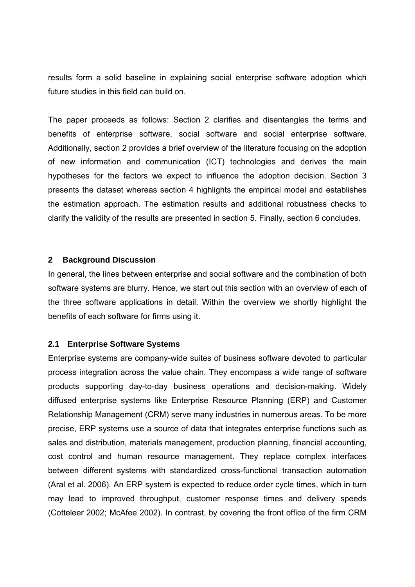results form a solid baseline in explaining social enterprise software adoption which future studies in this field can build on.

The paper proceeds as follows: Section 2 clarifies and disentangles the terms and benefits of enterprise software, social software and social enterprise software. Additionally, section 2 provides a brief overview of the literature focusing on the adoption of new information and communication (ICT) technologies and derives the main hypotheses for the factors we expect to influence the adoption decision. Section 3 presents the dataset whereas section 4 highlights the empirical model and establishes the estimation approach. The estimation results and additional robustness checks to clarify the validity of the results are presented in section 5. Finally, section 6 concludes.

#### **2 Background Discussion**

In general, the lines between enterprise and social software and the combination of both software systems are blurry. Hence, we start out this section with an overview of each of the three software applications in detail. Within the overview we shortly highlight the benefits of each software for firms using it.

#### **2.1 Enterprise Software Systems**

Enterprise systems are company-wide suites of business software devoted to particular process integration across the value chain. They encompass a wide range of software products supporting day-to-day business operations and decision-making. Widely diffused enterprise systems like Enterprise Resource Planning (ERP) and Customer Relationship Management (CRM) serve many industries in numerous areas. To be more precise, ERP systems use a source of data that integrates enterprise functions such as sales and distribution, materials management, production planning, financial accounting, cost control and human resource management. They replace complex interfaces between different systems with standardized cross-functional transaction automation (Aral et al. 2006). An ERP system is expected to reduce order cycle times, which in turn may lead to improved throughput, customer response times and delivery speeds (Cotteleer 2002; McAfee 2002). In contrast, by covering the front office of the firm CRM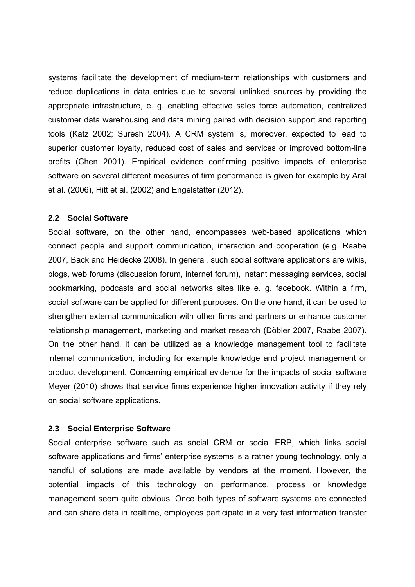systems facilitate the development of medium-term relationships with customers and reduce duplications in data entries due to several unlinked sources by providing the appropriate infrastructure, e. g. enabling effective sales force automation, centralized customer data warehousing and data mining paired with decision support and reporting tools (Katz 2002; Suresh 2004). A CRM system is, moreover, expected to lead to superior customer loyalty, reduced cost of sales and services or improved bottom-line profits (Chen 2001). Empirical evidence confirming positive impacts of enterprise software on several different measures of firm performance is given for example by Aral et al. (2006), Hitt et al. (2002) and Engelstätter (2012).

#### **2.2 Social Software**

Social software, on the other hand, encompasses web-based applications which connect people and support communication, interaction and cooperation (e.g. Raabe 2007, Back and Heidecke 2008). In general, such social software applications are wikis, blogs, web forums (discussion forum, internet forum), instant messaging services, social bookmarking, podcasts and social networks sites like e. g. facebook. Within a firm, social software can be applied for different purposes. On the one hand, it can be used to strengthen external communication with other firms and partners or enhance customer relationship management, marketing and market research (Döbler 2007, Raabe 2007). On the other hand, it can be utilized as a knowledge management tool to facilitate internal communication, including for example knowledge and project management or product development. Concerning empirical evidence for the impacts of social software Meyer (2010) shows that service firms experience higher innovation activity if they rely on social software applications.

#### **2.3 Social Enterprise Software**

Social enterprise software such as social CRM or social ERP, which links social software applications and firms' enterprise systems is a rather young technology, only a handful of solutions are made available by vendors at the moment. However, the potential impacts of this technology on performance, process or knowledge management seem quite obvious. Once both types of software systems are connected and can share data in realtime, employees participate in a very fast information transfer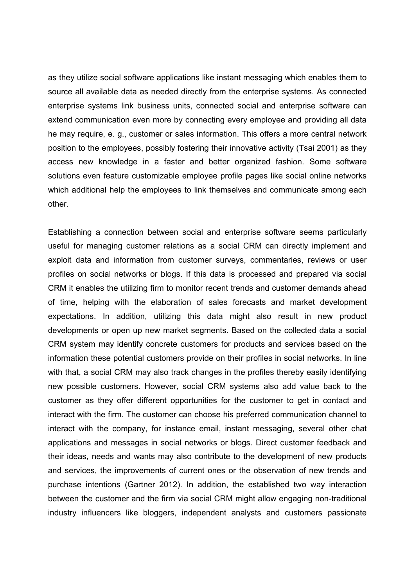as they utilize social software applications like instant messaging which enables them to source all available data as needed directly from the enterprise systems. As connected enterprise systems link business units, connected social and enterprise software can extend communication even more by connecting every employee and providing all data he may require, e. g., customer or sales information. This offers a more central network position to the employees, possibly fostering their innovative activity (Tsai 2001) as they access new knowledge in a faster and better organized fashion. Some software solutions even feature customizable employee profile pages like social online networks which additional help the employees to link themselves and communicate among each other.

Establishing a connection between social and enterprise software seems particularly useful for managing customer relations as a social CRM can directly implement and exploit data and information from customer surveys, commentaries, reviews or user profiles on social networks or blogs. If this data is processed and prepared via social CRM it enables the utilizing firm to monitor recent trends and customer demands ahead of time, helping with the elaboration of sales forecasts and market development expectations. In addition, utilizing this data might also result in new product developments or open up new market segments. Based on the collected data a social CRM system may identify concrete customers for products and services based on the information these potential customers provide on their profiles in social networks. In line with that, a social CRM may also track changes in the profiles thereby easily identifying new possible customers. However, social CRM systems also add value back to the customer as they offer different opportunities for the customer to get in contact and interact with the firm. The customer can choose his preferred communication channel to interact with the company, for instance email, instant messaging, several other chat applications and messages in social networks or blogs. Direct customer feedback and their ideas, needs and wants may also contribute to the development of new products and services, the improvements of current ones or the observation of new trends and purchase intentions (Gartner 2012). In addition, the established two way interaction between the customer and the firm via social CRM might allow engaging non-traditional industry influencers like bloggers, independent analysts and customers passionate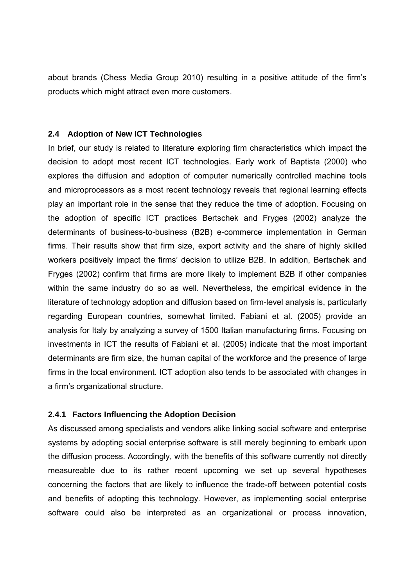about brands (Chess Media Group 2010) resulting in a positive attitude of the firm's products which might attract even more customers.

#### **2.4 Adoption of New ICT Technologies**

In brief, our study is related to literature exploring firm characteristics which impact the decision to adopt most recent ICT technologies. Early work of Baptista (2000) who explores the diffusion and adoption of computer numerically controlled machine tools and microprocessors as a most recent technology reveals that regional learning effects play an important role in the sense that they reduce the time of adoption. Focusing on the adoption of specific ICT practices Bertschek and Fryges (2002) analyze the determinants of business-to-business (B2B) e-commerce implementation in German firms. Their results show that firm size, export activity and the share of highly skilled workers positively impact the firms' decision to utilize B2B. In addition, Bertschek and Fryges (2002) confirm that firms are more likely to implement B2B if other companies within the same industry do so as well. Nevertheless, the empirical evidence in the literature of technology adoption and diffusion based on firm-level analysis is, particularly regarding European countries, somewhat limited. Fabiani et al. (2005) provide an analysis for Italy by analyzing a survey of 1500 Italian manufacturing firms. Focusing on investments in ICT the results of Fabiani et al. (2005) indicate that the most important determinants are firm size, the human capital of the workforce and the presence of large firms in the local environment. ICT adoption also tends to be associated with changes in a firm's organizational structure.

#### **2.4.1 Factors Influencing the Adoption Decision**

As discussed among specialists and vendors alike linking social software and enterprise systems by adopting social enterprise software is still merely beginning to embark upon the diffusion process. Accordingly, with the benefits of this software currently not directly measureable due to its rather recent upcoming we set up several hypotheses concerning the factors that are likely to influence the trade-off between potential costs and benefits of adopting this technology. However, as implementing social enterprise software could also be interpreted as an organizational or process innovation,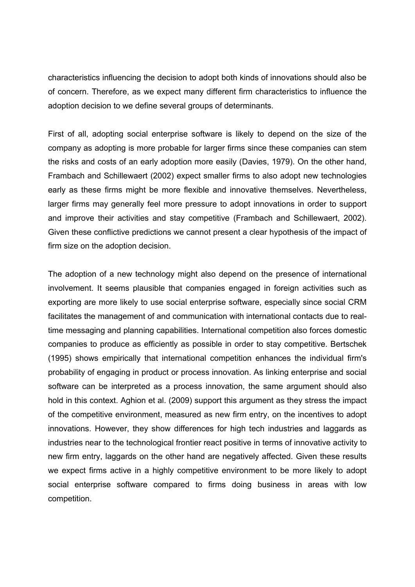characteristics influencing the decision to adopt both kinds of innovations should also be of concern. Therefore, as we expect many different firm characteristics to influence the adoption decision to we define several groups of determinants.

First of all, adopting social enterprise software is likely to depend on the size of the company as adopting is more probable for larger firms since these companies can stem the risks and costs of an early adoption more easily (Davies, 1979). On the other hand, Frambach and Schillewaert (2002) expect smaller firms to also adopt new technologies early as these firms might be more flexible and innovative themselves. Nevertheless, larger firms may generally feel more pressure to adopt innovations in order to support and improve their activities and stay competitive (Frambach and Schillewaert, 2002). Given these conflictive predictions we cannot present a clear hypothesis of the impact of firm size on the adoption decision.

The adoption of a new technology might also depend on the presence of international involvement. It seems plausible that companies engaged in foreign activities such as exporting are more likely to use social enterprise software, especially since social CRM facilitates the management of and communication with international contacts due to realtime messaging and planning capabilities. International competition also forces domestic companies to produce as efficiently as possible in order to stay competitive. Bertschek (1995) shows empirically that international competition enhances the individual firm's probability of engaging in product or process innovation. As linking enterprise and social software can be interpreted as a process innovation, the same argument should also hold in this context. Aghion et al. (2009) support this argument as they stress the impact of the competitive environment, measured as new firm entry, on the incentives to adopt innovations. However, they show differences for high tech industries and laggards as industries near to the technological frontier react positive in terms of innovative activity to new firm entry, laggards on the other hand are negatively affected. Given these results we expect firms active in a highly competitive environment to be more likely to adopt social enterprise software compared to firms doing business in areas with low competition.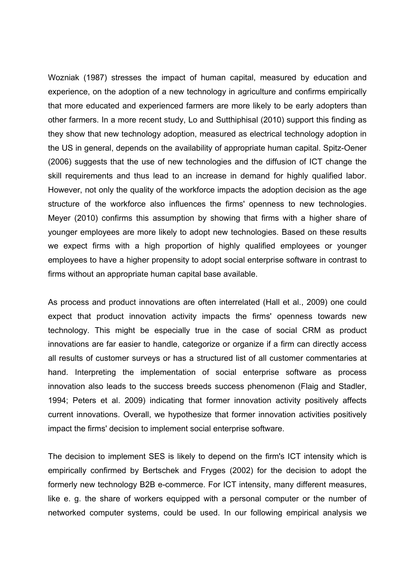Wozniak (1987) stresses the impact of human capital, measured by education and experience, on the adoption of a new technology in agriculture and confirms empirically that more educated and experienced farmers are more likely to be early adopters than other farmers. In a more recent study, Lo and Sutthiphisal (2010) support this finding as they show that new technology adoption, measured as electrical technology adoption in the US in general, depends on the availability of appropriate human capital. Spitz-Oener (2006) suggests that the use of new technologies and the diffusion of ICT change the skill requirements and thus lead to an increase in demand for highly qualified labor. However, not only the quality of the workforce impacts the adoption decision as the age structure of the workforce also influences the firms' openness to new technologies. Meyer (2010) confirms this assumption by showing that firms with a higher share of younger employees are more likely to adopt new technologies. Based on these results we expect firms with a high proportion of highly qualified employees or younger employees to have a higher propensity to adopt social enterprise software in contrast to firms without an appropriate human capital base available.

As process and product innovations are often interrelated (Hall et al., 2009) one could expect that product innovation activity impacts the firms' openness towards new technology. This might be especially true in the case of social CRM as product innovations are far easier to handle, categorize or organize if a firm can directly access all results of customer surveys or has a structured list of all customer commentaries at hand. Interpreting the implementation of social enterprise software as process innovation also leads to the success breeds success phenomenon (Flaig and Stadler, 1994; Peters et al. 2009) indicating that former innovation activity positively affects current innovations. Overall, we hypothesize that former innovation activities positively impact the firms' decision to implement social enterprise software.

The decision to implement SES is likely to depend on the firm's ICT intensity which is empirically confirmed by Bertschek and Fryges (2002) for the decision to adopt the formerly new technology B2B e-commerce. For ICT intensity, many different measures, like e. g. the share of workers equipped with a personal computer or the number of networked computer systems, could be used. In our following empirical analysis we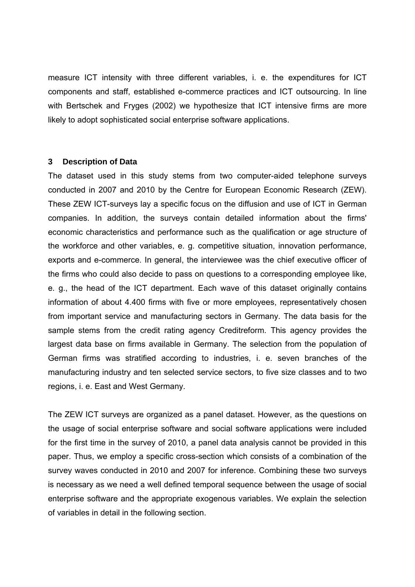measure ICT intensity with three different variables, i. e. the expenditures for ICT components and staff, established e-commerce practices and ICT outsourcing. In line with Bertschek and Fryges (2002) we hypothesize that ICT intensive firms are more likely to adopt sophisticated social enterprise software applications.

#### **3 Description of Data**

The dataset used in this study stems from two computer-aided telephone surveys conducted in 2007 and 2010 by the Centre for European Economic Research (ZEW). These ZEW ICT-surveys lay a specific focus on the diffusion and use of ICT in German companies. In addition, the surveys contain detailed information about the firms' economic characteristics and performance such as the qualification or age structure of the workforce and other variables, e. g. competitive situation, innovation performance, exports and e-commerce. In general, the interviewee was the chief executive officer of the firms who could also decide to pass on questions to a corresponding employee like, e. g., the head of the ICT department. Each wave of this dataset originally contains information of about 4.400 firms with five or more employees, representatively chosen from important service and manufacturing sectors in Germany. The data basis for the sample stems from the credit rating agency Creditreform. This agency provides the largest data base on firms available in Germany. The selection from the population of German firms was stratified according to industries, i. e. seven branches of the manufacturing industry and ten selected service sectors, to five size classes and to two regions, i. e. East and West Germany.

The ZEW ICT surveys are organized as a panel dataset. However, as the questions on the usage of social enterprise software and social software applications were included for the first time in the survey of 2010, a panel data analysis cannot be provided in this paper. Thus, we employ a specific cross-section which consists of a combination of the survey waves conducted in 2010 and 2007 for inference. Combining these two surveys is necessary as we need a well defined temporal sequence between the usage of social enterprise software and the appropriate exogenous variables. We explain the selection of variables in detail in the following section.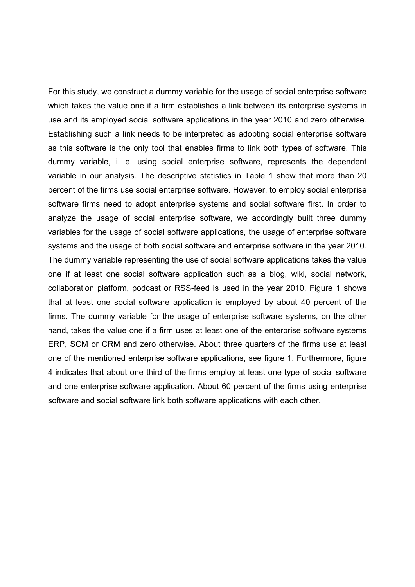For this study, we construct a dummy variable for the usage of social enterprise software which takes the value one if a firm establishes a link between its enterprise systems in use and its employed social software applications in the year 2010 and zero otherwise. Establishing such a link needs to be interpreted as adopting social enterprise software as this software is the only tool that enables firms to link both types of software. This dummy variable, i. e. using social enterprise software, represents the dependent variable in our analysis. The descriptive statistics in Table 1 show that more than 20 percent of the firms use social enterprise software. However, to employ social enterprise software firms need to adopt enterprise systems and social software first. In order to analyze the usage of social enterprise software, we accordingly built three dummy variables for the usage of social software applications, the usage of enterprise software systems and the usage of both social software and enterprise software in the year 2010. The dummy variable representing the use of social software applications takes the value one if at least one social software application such as a blog, wiki, social network, collaboration platform, podcast or RSS-feed is used in the year 2010. Figure 1 shows that at least one social software application is employed by about 40 percent of the firms. The dummy variable for the usage of enterprise software systems, on the other hand, takes the value one if a firm uses at least one of the enterprise software systems ERP, SCM or CRM and zero otherwise. About three quarters of the firms use at least one of the mentioned enterprise software applications, see figure 1. Furthermore, figure 4 indicates that about one third of the firms employ at least one type of social software and one enterprise software application. About 60 percent of the firms using enterprise software and social software link both software applications with each other.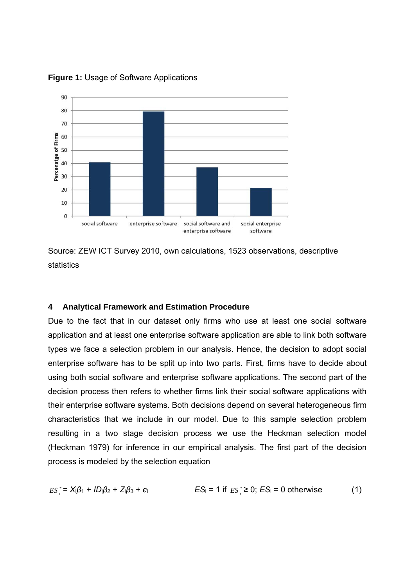

**Figure 1:** Usage of Software Applications

Source: ZEW ICT Survey 2010, own calculations, 1523 observations, descriptive statistics

#### **4 Analytical Framework and Estimation Procedure**

Due to the fact that in our dataset only firms who use at least one social software application and at least one enterprise software application are able to link both software types we face a selection problem in our analysis. Hence, the decision to adopt social enterprise software has to be split up into two parts. First, firms have to decide about using both social software and enterprise software applications. The second part of the decision process then refers to whether firms link their social software applications with their enterprise software systems. Both decisions depend on several heterogeneous firm characteristics that we include in our model. Due to this sample selection problem resulting in a two stage decision process we use the Heckman selection model (Heckman 1979) for inference in our empirical analysis. The first part of the decision process is modeled by the selection equation

$$
ES_i^* = X_i\beta_1 + ID_i\beta_2 + Z_i\beta_3 + \epsilon_i
$$
  

$$
ES_i = 1 \text{ if } ES_i^* \ge 0; ES_i = 0 \text{ otherwise}
$$
 (1)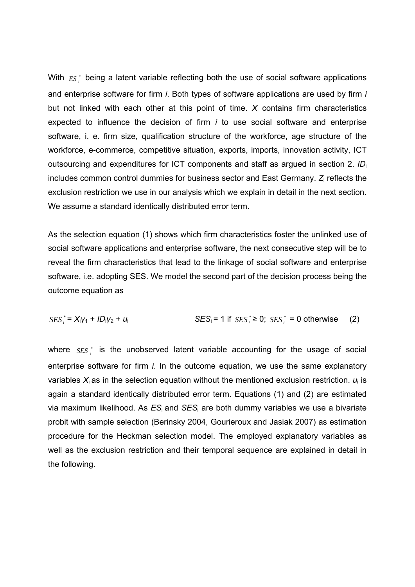With  $ES_i^*$  being a latent variable reflecting both the use of social software applications and enterprise software for firm *i*. Both types of software applications are used by firm *i* but not linked with each other at this point of time.  $X_i$  contains firm characteristics expected to influence the decision of firm *i* to use social software and enterprise software, i. e. firm size, qualification structure of the workforce, age structure of the workforce, e-commerce, competitive situation, exports, imports, innovation activity, ICT outsourcing and expenditures for ICT components and staff as argued in section 2. *ID*<sup>i</sup> includes common control dummies for business sector and East Germany. *Z*i reflects the exclusion restriction we use in our analysis which we explain in detail in the next section. We assume a standard identically distributed error term.

As the selection equation (1) shows which firm characteristics foster the unlinked use of social software applications and enterprise software, the next consecutive step will be to reveal the firm characteristics that lead to the linkage of social software and enterprise software, i.e. adopting SES. We model the second part of the decision process being the outcome equation as

$$
SES_i^* = X_iY_1 + ID_iY_2 + U_i
$$
  
SES<sub>i</sub> = 1 if  $SES_i^* \ge 0$ ;  $SES_i^* = 0$  otherwise (2)

where *SES* is the unobserved latent variable accounting for the usage of social enterprise software for firm *i*. In the outcome equation, we use the same explanatory variables *X*i as in the selection equation without the mentioned exclusion restriction. *u*i is again a standard identically distributed error term. Equations (1) and (2) are estimated via maximum likelihood. As *ES*i and *SES*i are both dummy variables we use a bivariate probit with sample selection (Berinsky 2004, Gourieroux and Jasiak 2007) as estimation procedure for the Heckman selection model. The employed explanatory variables as well as the exclusion restriction and their temporal sequence are explained in detail in the following.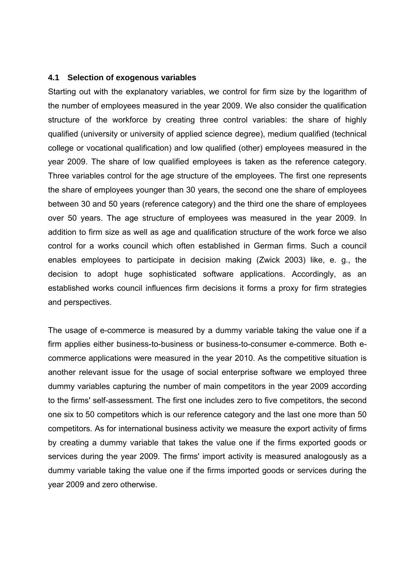#### **4.1 Selection of exogenous variables**

Starting out with the explanatory variables, we control for firm size by the logarithm of the number of employees measured in the year 2009. We also consider the qualification structure of the workforce by creating three control variables: the share of highly qualified (university or university of applied science degree), medium qualified (technical college or vocational qualification) and low qualified (other) employees measured in the year 2009. The share of low qualified employees is taken as the reference category. Three variables control for the age structure of the employees. The first one represents the share of employees younger than 30 years, the second one the share of employees between 30 and 50 years (reference category) and the third one the share of employees over 50 years. The age structure of employees was measured in the year 2009. In addition to firm size as well as age and qualification structure of the work force we also control for a works council which often established in German firms. Such a council enables employees to participate in decision making (Zwick 2003) like, e. g., the decision to adopt huge sophisticated software applications. Accordingly, as an established works council influences firm decisions it forms a proxy for firm strategies and perspectives.

The usage of e-commerce is measured by a dummy variable taking the value one if a firm applies either business-to-business or business-to-consumer e-commerce. Both ecommerce applications were measured in the year 2010. As the competitive situation is another relevant issue for the usage of social enterprise software we employed three dummy variables capturing the number of main competitors in the year 2009 according to the firms' self-assessment. The first one includes zero to five competitors, the second one six to 50 competitors which is our reference category and the last one more than 50 competitors. As for international business activity we measure the export activity of firms by creating a dummy variable that takes the value one if the firms exported goods or services during the year 2009. The firms' import activity is measured analogously as a dummy variable taking the value one if the firms imported goods or services during the year 2009 and zero otherwise.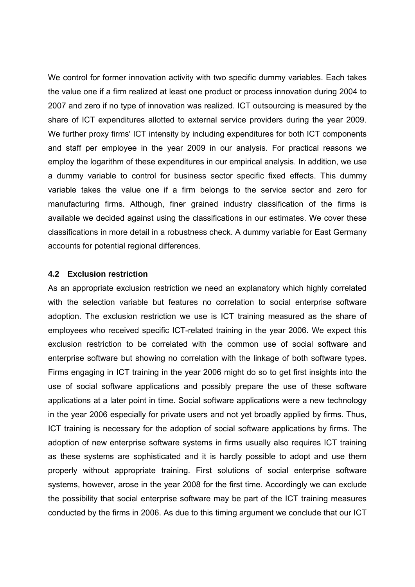We control for former innovation activity with two specific dummy variables. Each takes the value one if a firm realized at least one product or process innovation during 2004 to 2007 and zero if no type of innovation was realized. ICT outsourcing is measured by the share of ICT expenditures allotted to external service providers during the year 2009. We further proxy firms' ICT intensity by including expenditures for both ICT components and staff per employee in the year 2009 in our analysis. For practical reasons we employ the logarithm of these expenditures in our empirical analysis. In addition, we use a dummy variable to control for business sector specific fixed effects. This dummy variable takes the value one if a firm belongs to the service sector and zero for manufacturing firms. Although, finer grained industry classification of the firms is available we decided against using the classifications in our estimates. We cover these classifications in more detail in a robustness check. A dummy variable for East Germany accounts for potential regional differences.

#### **4.2 Exclusion restriction**

As an appropriate exclusion restriction we need an explanatory which highly correlated with the selection variable but features no correlation to social enterprise software adoption. The exclusion restriction we use is ICT training measured as the share of employees who received specific ICT-related training in the year 2006. We expect this exclusion restriction to be correlated with the common use of social software and enterprise software but showing no correlation with the linkage of both software types. Firms engaging in ICT training in the year 2006 might do so to get first insights into the use of social software applications and possibly prepare the use of these software applications at a later point in time. Social software applications were a new technology in the year 2006 especially for private users and not yet broadly applied by firms. Thus, ICT training is necessary for the adoption of social software applications by firms. The adoption of new enterprise software systems in firms usually also requires ICT training as these systems are sophisticated and it is hardly possible to adopt and use them properly without appropriate training. First solutions of social enterprise software systems, however, arose in the year 2008 for the first time. Accordingly we can exclude the possibility that social enterprise software may be part of the ICT training measures conducted by the firms in 2006. As due to this timing argument we conclude that our ICT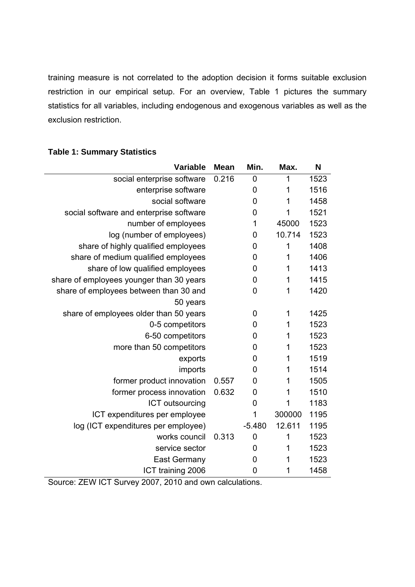training measure is not correlated to the adoption decision it forms suitable exclusion restriction in our empirical setup. For an overview, Table 1 pictures the summary statistics for all variables, including endogenous and exogenous variables as well as the exclusion restriction.

| Variable                                 | <b>Mean</b> | Min.           | Max.   | N    |
|------------------------------------------|-------------|----------------|--------|------|
| social enterprise software               | 0.216       | 0              | 1      | 1523 |
| enterprise software                      |             | $\mathbf 0$    | 1      | 1516 |
| social software                          |             | $\mathbf 0$    | 1      | 1458 |
| social software and enterprise software  |             | 0              | 1      | 1521 |
| number of employees                      |             | 1              | 45000  | 1523 |
| log (number of employees)                |             | $\mathbf 0$    | 10.714 | 1523 |
| share of highly qualified employees      |             | 0              | 1      | 1408 |
| share of medium qualified employees      |             | $\mathbf 0$    | 1      | 1406 |
| share of low qualified employees         |             | $\mathbf 0$    | 1      | 1413 |
| share of employees younger than 30 years |             | 0              | 1      | 1415 |
| share of employees between than 30 and   |             | $\mathbf 0$    | 1      | 1420 |
| 50 years                                 |             |                |        |      |
| share of employees older than 50 years   |             | 0              | 1      | 1425 |
| 0-5 competitors                          |             | 0              | 1      | 1523 |
| 6-50 competitors                         |             | 0              | 1      | 1523 |
| more than 50 competitors                 |             | 0              | 1      | 1523 |
| exports                                  |             | $\mathbf 0$    | 1      | 1519 |
| imports                                  |             | $\overline{0}$ | 1      | 1514 |
| former product innovation                | 0.557       | 0              | 1      | 1505 |
| former process innovation                | 0.632       | $\mathbf 0$    | 1      | 1510 |
| ICT outsourcing                          |             | 0              | 1      | 1183 |
| ICT expenditures per employee            |             | 1              | 300000 | 1195 |
| log (ICT expenditures per employee)      |             | $-5.480$       | 12.611 | 1195 |
| works council                            | 0.313       | $\mathbf 0$    | 1      | 1523 |
| service sector                           |             | $\overline{0}$ | 1      | 1523 |
| <b>East Germany</b>                      |             | $\mathbf 0$    | 1      | 1523 |
| ICT training 2006                        |             | $\overline{0}$ | 1      | 1458 |

## **Table 1: Summary Statistics**

Source: ZEW ICT Survey 2007, 2010 and own calculations.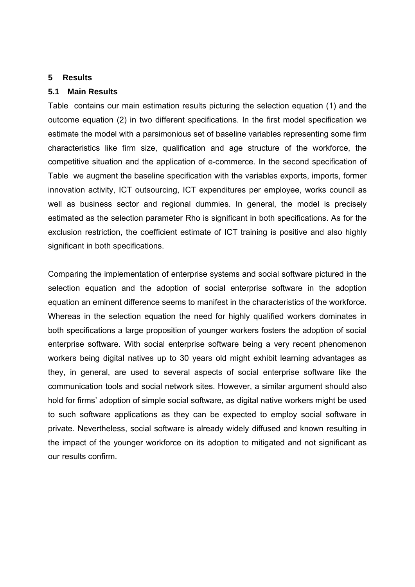#### **5 Results**

#### **5.1 Main Results**

Table contains our main estimation results picturing the selection equation (1) and the outcome equation (2) in two different specifications. In the first model specification we estimate the model with a parsimonious set of baseline variables representing some firm characteristics like firm size, qualification and age structure of the workforce, the competitive situation and the application of e-commerce. In the second specification of Table we augment the baseline specification with the variables exports, imports, former innovation activity, ICT outsourcing, ICT expenditures per employee, works council as well as business sector and regional dummies. In general, the model is precisely estimated as the selection parameter Rho is significant in both specifications. As for the exclusion restriction, the coefficient estimate of ICT training is positive and also highly significant in both specifications.

Comparing the implementation of enterprise systems and social software pictured in the selection equation and the adoption of social enterprise software in the adoption equation an eminent difference seems to manifest in the characteristics of the workforce. Whereas in the selection equation the need for highly qualified workers dominates in both specifications a large proposition of younger workers fosters the adoption of social enterprise software. With social enterprise software being a very recent phenomenon workers being digital natives up to 30 years old might exhibit learning advantages as they, in general, are used to several aspects of social enterprise software like the communication tools and social network sites. However, a similar argument should also hold for firms' adoption of simple social software, as digital native workers might be used to such software applications as they can be expected to employ social software in private. Nevertheless, social software is already widely diffused and known resulting in the impact of the younger workforce on its adoption to mitigated and not significant as our results confirm.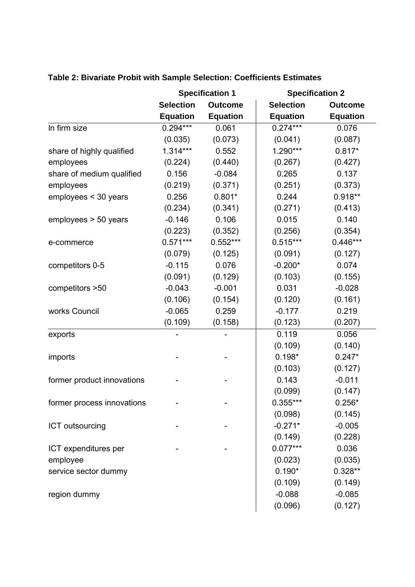|                            | <b>Specification 1</b> |                 | <b>Specification 2</b> |                 |  |
|----------------------------|------------------------|-----------------|------------------------|-----------------|--|
|                            | <b>Selection</b>       | <b>Outcome</b>  | <b>Selection</b>       | <b>Outcome</b>  |  |
|                            | <b>Equation</b>        | <b>Equation</b> | <b>Equation</b>        | <b>Equation</b> |  |
| In firm size               | $0.294***$             | 0.061           | $0.274***$             | 0.076           |  |
|                            | (0.035)                | (0.073)         | (0.041)                | (0.087)         |  |
| share of highly qualified  | $1.314***$             | 0.552           | $1.290***$             | $0.817*$        |  |
| employees                  | (0.224)                | (0.440)         | (0.267)                | (0.427)         |  |
| share of medium qualified  | 0.156                  | $-0.084$        | 0.265                  | 0.137           |  |
| employees                  | (0.219)                | (0.371)         | (0.251)                | (0.373)         |  |
| employees < 30 years       | 0.256                  | $0.801*$        | 0.244                  | $0.918**$       |  |
|                            | (0.234)                | (0.341)         | (0.271)                | (0.413)         |  |
| employees > 50 years       | $-0.146$               | 0.106           | 0.015                  | 0.140           |  |
|                            | (0.223)                | (0.352)         | (0.256)                | (0.354)         |  |
| e-commerce                 | $0.571***$             | $0.552***$      | $0.515***$             | $0.446***$      |  |
|                            | (0.079)                | (0.125)         | (0.091)                | (0.127)         |  |
| competitors 0-5            | $-0.115$               | 0.076           | $-0.200*$              | 0.074           |  |
|                            | (0.091)                | (0.129)         | (0.103)                | (0.155)         |  |
| competitors >50            | $-0.043$               | $-0.001$        | 0.031                  | $-0.028$        |  |
|                            | (0.106)                | (0.154)         | (0.120)                | (0.161)         |  |
| works Council              | $-0.065$               | 0.259           | $-0.177$               | 0.219           |  |
|                            | (0.109)                | (0.158)         | (0.123)                | (0.207)         |  |
| exports                    |                        |                 | 0.119                  | 0.056           |  |
|                            |                        |                 | (0.109)                | (0.140)         |  |
| imports                    |                        |                 | $0.198*$               | $0.247*$        |  |
|                            |                        |                 | (0.103)                | (0.127)         |  |
| former product innovations |                        |                 | 0.143                  | $-0.011$        |  |
|                            |                        |                 | (0.099)                | (0.147)         |  |
| former process innovations |                        |                 | $0.355***$             | $0.256*$        |  |
|                            |                        |                 | (0.098)                | (0.145)         |  |
| ICT outsourcing            |                        |                 | $-0.271*$              | $-0.005$        |  |
|                            |                        |                 | (0.149)                | (0.228)         |  |
| ICT expenditures per       |                        |                 | $0.077***$             | 0.036           |  |
| employee                   |                        |                 | (0.023)                | (0.035)         |  |
| service sector dummy       |                        |                 | $0.190*$               | $0.328**$       |  |
|                            |                        |                 | (0.109)                | (0.149)         |  |
| region dummy               |                        |                 | $-0.088$               | $-0.085$        |  |
|                            |                        |                 | (0.096)                | (0.127)         |  |

## **Table 2: Bivariate Probit with Sample Selection: Coefficients Estimates**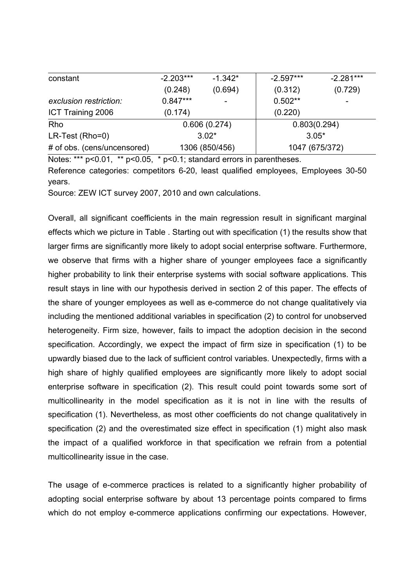| constant                    | $-2.203***$    | $-1.342*$                | $-2.597***$    | $-2.281***$ |
|-----------------------------|----------------|--------------------------|----------------|-------------|
|                             | (0.248)        | (0.694)                  | (0.312)        | (0.729)     |
| exclusion restriction:      | $0.847***$     | $\overline{\phantom{a}}$ | $0.502**$      |             |
| ICT Training 2006           | (0.174)        |                          | (0.220)        |             |
| Rho                         | 0.606(0.274)   |                          | 0.803(0.294)   |             |
| LR-Test (Rho=0)             | $3.02*$        |                          | $3.05*$        |             |
| # of obs. (cens/uncensored) | 1306 (850/456) |                          | 1047 (675/372) |             |

Notes: \*\*\* p<0.01, \*\* p<0.05, \* p<0.1; standard errors in parentheses. Reference categories: competitors 6-20, least qualified employees, Employees 30-50 years.

Source: ZEW ICT survey 2007, 2010 and own calculations.

Overall, all significant coefficients in the main regression result in significant marginal effects which we picture in Table . Starting out with specification (1) the results show that larger firms are significantly more likely to adopt social enterprise software. Furthermore, we observe that firms with a higher share of younger employees face a significantly higher probability to link their enterprise systems with social software applications. This result stays in line with our hypothesis derived in section 2 of this paper. The effects of the share of younger employees as well as e-commerce do not change qualitatively via including the mentioned additional variables in specification (2) to control for unobserved heterogeneity. Firm size, however, fails to impact the adoption decision in the second specification. Accordingly, we expect the impact of firm size in specification (1) to be upwardly biased due to the lack of sufficient control variables. Unexpectedly, firms with a high share of highly qualified employees are significantly more likely to adopt social enterprise software in specification (2). This result could point towards some sort of multicollinearity in the model specification as it is not in line with the results of specification (1). Nevertheless, as most other coefficients do not change qualitatively in specification (2) and the overestimated size effect in specification (1) might also mask the impact of a qualified workforce in that specification we refrain from a potential multicollinearity issue in the case.

The usage of e-commerce practices is related to a significantly higher probability of adopting social enterprise software by about 13 percentage points compared to firms which do not employ e-commerce applications confirming our expectations. However,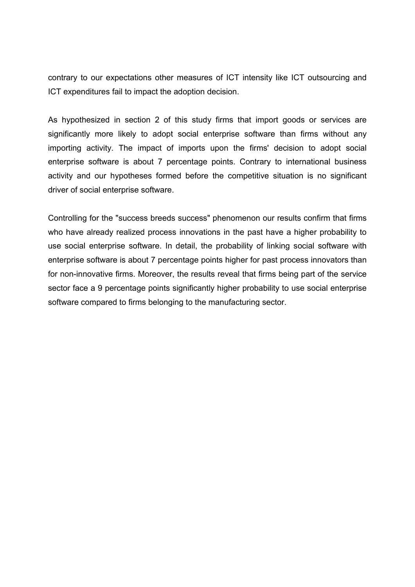contrary to our expectations other measures of ICT intensity like ICT outsourcing and ICT expenditures fail to impact the adoption decision.

As hypothesized in section 2 of this study firms that import goods or services are significantly more likely to adopt social enterprise software than firms without any importing activity. The impact of imports upon the firms' decision to adopt social enterprise software is about 7 percentage points. Contrary to international business activity and our hypotheses formed before the competitive situation is no significant driver of social enterprise software.

Controlling for the "success breeds success" phenomenon our results confirm that firms who have already realized process innovations in the past have a higher probability to use social enterprise software. In detail, the probability of linking social software with enterprise software is about 7 percentage points higher for past process innovators than for non-innovative firms. Moreover, the results reveal that firms being part of the service sector face a 9 percentage points significantly higher probability to use social enterprise software compared to firms belonging to the manufacturing sector.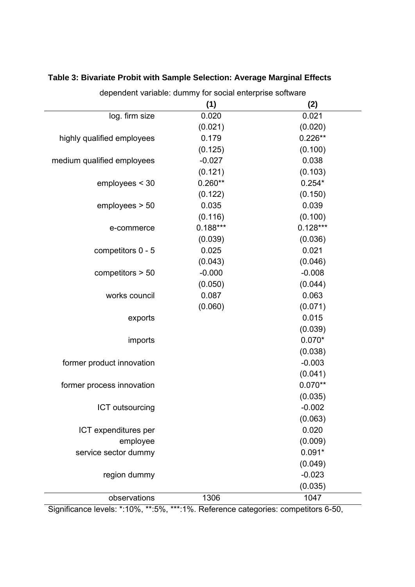| dependent variable: dummy for social enterprise software |            |            |  |  |
|----------------------------------------------------------|------------|------------|--|--|
|                                                          | (1)        | (2)        |  |  |
| log. firm size                                           | 0.020      | 0.021      |  |  |
|                                                          | (0.021)    | (0.020)    |  |  |
| highly qualified employees                               | 0.179      | $0.226**$  |  |  |
|                                                          | (0.125)    | (0.100)    |  |  |
| medium qualified employees                               | $-0.027$   | 0.038      |  |  |
|                                                          | (0.121)    | (0.103)    |  |  |
| employes < 30                                            | $0.260**$  | $0.254*$   |  |  |
|                                                          | (0.122)    | (0.150)    |  |  |
| employes > 50                                            | 0.035      | 0.039      |  |  |
|                                                          | (0.116)    | (0.100)    |  |  |
| e-commerce                                               | $0.188***$ | $0.128***$ |  |  |
|                                                          | (0.039)    | (0.036)    |  |  |
| competitors 0 - 5                                        | 0.025      | 0.021      |  |  |
|                                                          | (0.043)    | (0.046)    |  |  |
| competitors $> 50$                                       | $-0.000$   | $-0.008$   |  |  |
|                                                          | (0.050)    | (0.044)    |  |  |
| works council                                            | 0.087      | 0.063      |  |  |
|                                                          | (0.060)    | (0.071)    |  |  |
| exports                                                  |            | 0.015      |  |  |
|                                                          |            | (0.039)    |  |  |
| imports                                                  |            | $0.070*$   |  |  |
|                                                          |            | (0.038)    |  |  |
| former product innovation                                |            | $-0.003$   |  |  |
|                                                          |            | (0.041)    |  |  |
| former process innovation                                |            | $0.070**$  |  |  |
|                                                          |            | (0.035)    |  |  |
| ICT outsourcing                                          |            | $-0.002$   |  |  |
|                                                          |            | (0.063)    |  |  |
| ICT expenditures per                                     |            | 0.020      |  |  |
| employee                                                 |            | (0.009)    |  |  |
| service sector dummy                                     |            | $0.091*$   |  |  |
|                                                          |            | (0.049)    |  |  |
| region dummy                                             |            | $-0.023$   |  |  |
|                                                          |            | (0.035)    |  |  |
| observations                                             | 1306       | 1047       |  |  |

## **Table 3: Bivariate Probit with Sample Selection: Average Marginal Effects**

Significance levels: \*:10%, \*\*:5%, \*\*\*:1%. Reference categories: competitors 6-50,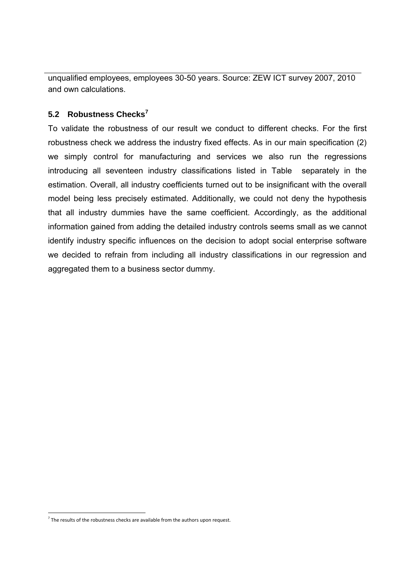unqualified employees, employees 30-50 years. Source: ZEW ICT survey 2007, 2010 and own calculations.

### **5.2 Robustness Checks<sup>7</sup>**

To validate the robustness of our result we conduct to different checks. For the first robustness check we address the industry fixed effects. As in our main specification (2) we simply control for manufacturing and services we also run the regressions introducing all seventeen industry classifications listed in Table separately in the estimation. Overall, all industry coefficients turned out to be insignificant with the overall model being less precisely estimated. Additionally, we could not deny the hypothesis that all industry dummies have the same coefficient. Accordingly, as the additional information gained from adding the detailed industry controls seems small as we cannot identify industry specific influences on the decision to adopt social enterprise software we decided to refrain from including all industry classifications in our regression and aggregated them to a business sector dummy.

-

 $<sup>7</sup>$  The results of the robustness checks are available from the authors upon request.</sup>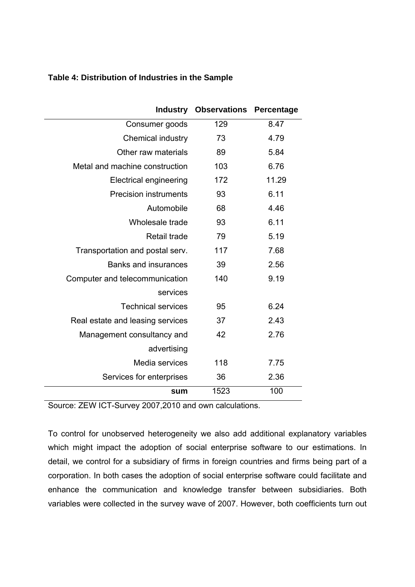| Table 4: Distribution of Industries in the Sample |  |  |
|---------------------------------------------------|--|--|
|---------------------------------------------------|--|--|

| <b>Industry</b>                  | <b>Observations</b> | Percentage |
|----------------------------------|---------------------|------------|
| Consumer goods                   | 129                 | 8.47       |
| <b>Chemical industry</b>         | 73                  | 4.79       |
| Other raw materials              | 89                  | 5.84       |
| Metal and machine construction   | 103                 | 6.76       |
| <b>Electrical engineering</b>    | 172                 | 11.29      |
| <b>Precision instruments</b>     | 93                  | 6.11       |
| Automobile                       | 68                  | 4.46       |
| Wholesale trade                  | 93                  | 6.11       |
| Retail trade                     | 79                  | 5.19       |
| Transportation and postal serv.  | 117                 | 7.68       |
| <b>Banks and insurances</b>      | 39                  | 2.56       |
| Computer and telecommunication   | 140                 | 9.19       |
| services                         |                     |            |
| <b>Technical services</b>        | 95                  | 6.24       |
| Real estate and leasing services | 37                  | 2.43       |
| Management consultancy and       | 42                  | 2.76       |
| advertising                      |                     |            |
| Media services                   | 118                 | 7.75       |
| Services for enterprises         | 36                  | 2.36       |
| sum                              | 1523                | 100        |

Source: ZEW ICT-Survey 2007,2010 and own calculations.

To control for unobserved heterogeneity we also add additional explanatory variables which might impact the adoption of social enterprise software to our estimations. In detail, we control for a subsidiary of firms in foreign countries and firms being part of a corporation. In both cases the adoption of social enterprise software could facilitate and enhance the communication and knowledge transfer between subsidiaries. Both variables were collected in the survey wave of 2007. However, both coefficients turn out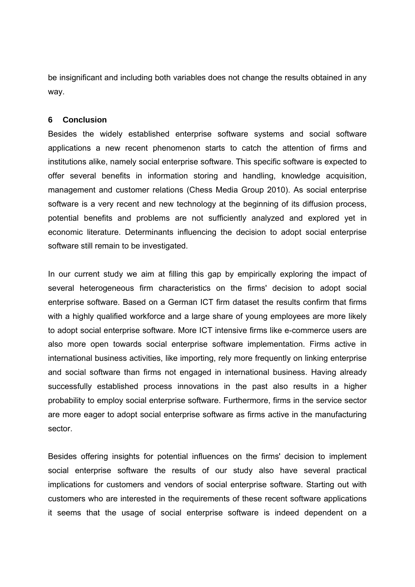be insignificant and including both variables does not change the results obtained in any way.

#### **6 Conclusion**

Besides the widely established enterprise software systems and social software applications a new recent phenomenon starts to catch the attention of firms and institutions alike, namely social enterprise software. This specific software is expected to offer several benefits in information storing and handling, knowledge acquisition, management and customer relations (Chess Media Group 2010). As social enterprise software is a very recent and new technology at the beginning of its diffusion process, potential benefits and problems are not sufficiently analyzed and explored yet in economic literature. Determinants influencing the decision to adopt social enterprise software still remain to be investigated.

In our current study we aim at filling this gap by empirically exploring the impact of several heterogeneous firm characteristics on the firms' decision to adopt social enterprise software. Based on a German ICT firm dataset the results confirm that firms with a highly qualified workforce and a large share of young employees are more likely to adopt social enterprise software. More ICT intensive firms like e-commerce users are also more open towards social enterprise software implementation. Firms active in international business activities, like importing, rely more frequently on linking enterprise and social software than firms not engaged in international business. Having already successfully established process innovations in the past also results in a higher probability to employ social enterprise software. Furthermore, firms in the service sector are more eager to adopt social enterprise software as firms active in the manufacturing sector.

Besides offering insights for potential influences on the firms' decision to implement social enterprise software the results of our study also have several practical implications for customers and vendors of social enterprise software. Starting out with customers who are interested in the requirements of these recent software applications it seems that the usage of social enterprise software is indeed dependent on a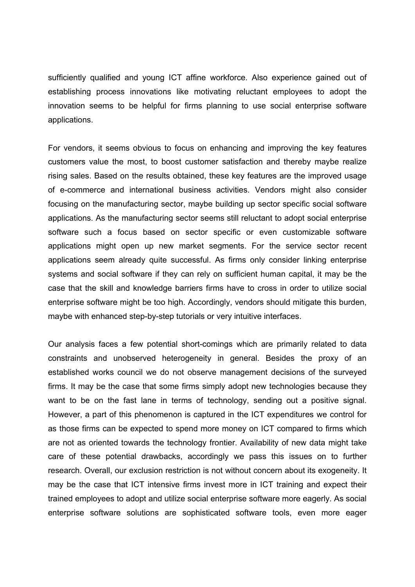sufficiently qualified and young ICT affine workforce. Also experience gained out of establishing process innovations like motivating reluctant employees to adopt the innovation seems to be helpful for firms planning to use social enterprise software applications.

For vendors, it seems obvious to focus on enhancing and improving the key features customers value the most, to boost customer satisfaction and thereby maybe realize rising sales. Based on the results obtained, these key features are the improved usage of e-commerce and international business activities. Vendors might also consider focusing on the manufacturing sector, maybe building up sector specific social software applications. As the manufacturing sector seems still reluctant to adopt social enterprise software such a focus based on sector specific or even customizable software applications might open up new market segments. For the service sector recent applications seem already quite successful. As firms only consider linking enterprise systems and social software if they can rely on sufficient human capital, it may be the case that the skill and knowledge barriers firms have to cross in order to utilize social enterprise software might be too high. Accordingly, vendors should mitigate this burden, maybe with enhanced step-by-step tutorials or very intuitive interfaces.

Our analysis faces a few potential short-comings which are primarily related to data constraints and unobserved heterogeneity in general. Besides the proxy of an established works council we do not observe management decisions of the surveyed firms. It may be the case that some firms simply adopt new technologies because they want to be on the fast lane in terms of technology, sending out a positive signal. However, a part of this phenomenon is captured in the ICT expenditures we control for as those firms can be expected to spend more money on ICT compared to firms which are not as oriented towards the technology frontier. Availability of new data might take care of these potential drawbacks, accordingly we pass this issues on to further research. Overall, our exclusion restriction is not without concern about its exogeneity. It may be the case that ICT intensive firms invest more in ICT training and expect their trained employees to adopt and utilize social enterprise software more eagerly. As social enterprise software solutions are sophisticated software tools, even more eager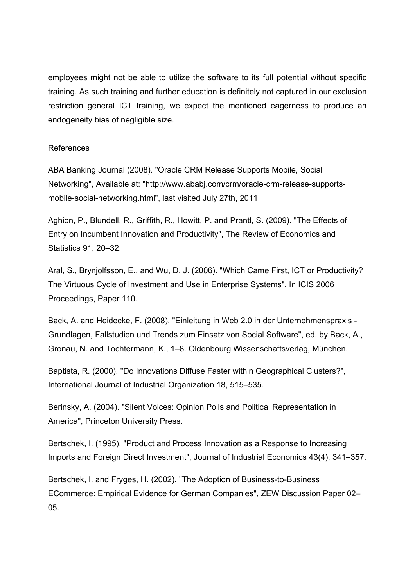employees might not be able to utilize the software to its full potential without specific training. As such training and further education is definitely not captured in our exclusion restriction general ICT training, we expect the mentioned eagerness to produce an endogeneity bias of negligible size.

#### References

ABA Banking Journal (2008). "Oracle CRM Release Supports Mobile, Social Networking", Available at: "http://www.ababj.com/crm/oracle-crm-release-supportsmobile-social-networking.html", last visited July 27th, 2011

Aghion, P., Blundell, R., Griffith, R., Howitt, P. and Prantl, S. (2009). "The Effects of Entry on Incumbent Innovation and Productivity", The Review of Economics and Statistics 91, 20–32.

Aral, S., Brynjolfsson, E., and Wu, D. J. (2006). "Which Came First, ICT or Productivity? The Virtuous Cycle of Investment and Use in Enterprise Systems", In ICIS 2006 Proceedings, Paper 110.

Back, A. and Heidecke, F. (2008). "Einleitung in Web 2.0 in der Unternehmenspraxis - Grundlagen, Fallstudien und Trends zum Einsatz von Social Software", ed. by Back, A., Gronau, N. and Tochtermann, K., 1–8. Oldenbourg Wissenschaftsverlag, München.

Baptista, R. (2000). "Do Innovations Diffuse Faster within Geographical Clusters?", International Journal of Industrial Organization 18, 515–535.

Berinsky, A. (2004). "Silent Voices: Opinion Polls and Political Representation in America", Princeton University Press.

Bertschek, I. (1995). "Product and Process Innovation as a Response to Increasing Imports and Foreign Direct Investment", Journal of Industrial Economics 43(4), 341–357.

Bertschek, I. and Fryges, H. (2002). "The Adoption of Business-to-Business ECommerce: Empirical Evidence for German Companies", ZEW Discussion Paper 02– 05.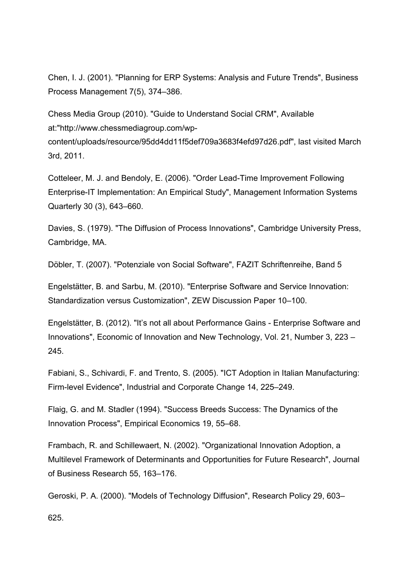Chen, I. J. (2001). "Planning for ERP Systems: Analysis and Future Trends", Business Process Management 7(5), 374–386.

Chess Media Group (2010). "Guide to Understand Social CRM", Available at:"http://www.chessmediagroup.com/wp-

content/uploads/resource/95dd4dd11f5def709a3683f4efd97d26.pdf", last visited March 3rd, 2011.

Cotteleer, M. J. and Bendoly, E. (2006). "Order Lead-Time Improvement Following Enterprise-IT Implementation: An Empirical Study", Management Information Systems Quarterly 30 (3), 643–660.

Davies, S. (1979). "The Diffusion of Process Innovations", Cambridge University Press, Cambridge, MA.

Döbler, T. (2007). "Potenziale von Social Software", FAZIT Schriftenreihe, Band 5

Engelstätter, B. and Sarbu, M. (2010). "Enterprise Software and Service Innovation: Standardization versus Customization", ZEW Discussion Paper 10–100.

Engelstätter, B. (2012). "It's not all about Performance Gains - Enterprise Software and Innovations", Economic of Innovation and New Technology, Vol. 21, Number 3, 223 – 245.

Fabiani, S., Schivardi, F. and Trento, S. (2005). "ICT Adoption in Italian Manufacturing: Firm-level Evidence", Industrial and Corporate Change 14, 225–249.

Flaig, G. and M. Stadler (1994). "Success Breeds Success: The Dynamics of the Innovation Process", Empirical Economics 19, 55–68.

Frambach, R. and Schillewaert, N. (2002). "Organizational Innovation Adoption, a Multilevel Framework of Determinants and Opportunities for Future Research", Journal of Business Research 55, 163–176.

Geroski, P. A. (2000). "Models of Technology Diffusion", Research Policy 29, 603– 625.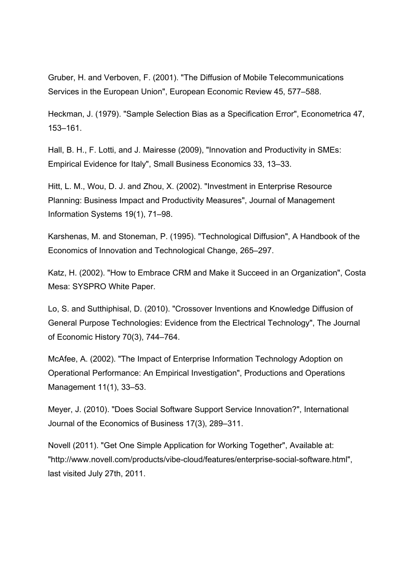Gruber, H. and Verboven, F. (2001). "The Diffusion of Mobile Telecommunications Services in the European Union", European Economic Review 45, 577–588.

Heckman, J. (1979). "Sample Selection Bias as a Specification Error", Econometrica 47, 153–161.

Hall, B. H., F. Lotti, and J. Mairesse (2009), "Innovation and Productivity in SMEs: Empirical Evidence for Italy", Small Business Economics 33, 13–33.

Hitt, L. M., Wou, D. J. and Zhou, X. (2002). "Investment in Enterprise Resource Planning: Business Impact and Productivity Measures", Journal of Management Information Systems 19(1), 71–98.

Karshenas, M. and Stoneman, P. (1995). "Technological Diffusion", A Handbook of the Economics of Innovation and Technological Change, 265–297.

Katz, H. (2002). "How to Embrace CRM and Make it Succeed in an Organization", Costa Mesa: SYSPRO White Paper.

Lo, S. and Sutthiphisal, D. (2010). "Crossover Inventions and Knowledge Diffusion of General Purpose Technologies: Evidence from the Electrical Technology", The Journal of Economic History 70(3), 744–764.

McAfee, A. (2002). "The Impact of Enterprise Information Technology Adoption on Operational Performance: An Empirical Investigation", Productions and Operations Management 11(1), 33–53.

Meyer, J. (2010). "Does Social Software Support Service Innovation?", International Journal of the Economics of Business 17(3), 289–311.

Novell (2011). "Get One Simple Application for Working Together", Available at: "http://www.novell.com/products/vibe-cloud/features/enterprise-social-software.html", last visited July 27th, 2011.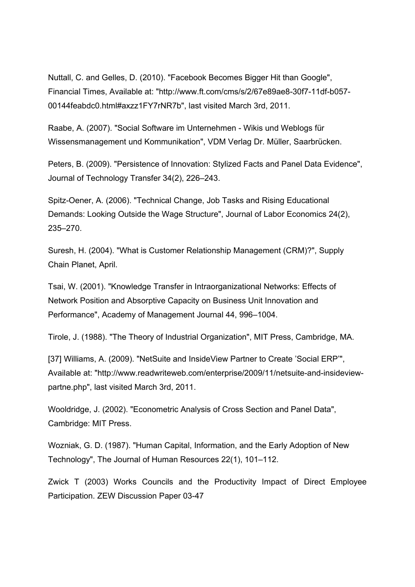Nuttall, C. and Gelles, D. (2010). "Facebook Becomes Bigger Hit than Google", Financial Times, Available at: "http://www.ft.com/cms/s/2/67e89ae8-30f7-11df-b057- 00144feabdc0.html#axzz1FY7rNR7b", last visited March 3rd, 2011.

Raabe, A. (2007). "Social Software im Unternehmen - Wikis und Weblogs für Wissensmanagement und Kommunikation", VDM Verlag Dr. Müller, Saarbrücken.

Peters, B. (2009). "Persistence of Innovation: Stylized Facts and Panel Data Evidence", Journal of Technology Transfer 34(2), 226–243.

Spitz-Oener, A. (2006). "Technical Change, Job Tasks and Rising Educational Demands: Looking Outside the Wage Structure", Journal of Labor Economics 24(2), 235–270.

Suresh, H. (2004). "What is Customer Relationship Management (CRM)?", Supply Chain Planet, April.

Tsai, W. (2001). "Knowledge Transfer in Intraorganizational Networks: Effects of Network Position and Absorptive Capacity on Business Unit Innovation and Performance", Academy of Management Journal 44, 996–1004.

Tirole, J. (1988). "The Theory of Industrial Organization", MIT Press, Cambridge, MA.

[37] Williams, A. (2009). "NetSuite and InsideView Partner to Create 'Social ERP", Available at: "http://www.readwriteweb.com/enterprise/2009/11/netsuite-and-insideviewpartne.php", last visited March 3rd, 2011.

Wooldridge, J. (2002). "Econometric Analysis of Cross Section and Panel Data", Cambridge: MIT Press.

Wozniak, G. D. (1987). "Human Capital, Information, and the Early Adoption of New Technology", The Journal of Human Resources 22(1), 101–112.

Zwick T (2003) Works Councils and the Productivity Impact of Direct Employee Participation. ZEW Discussion Paper 03-47